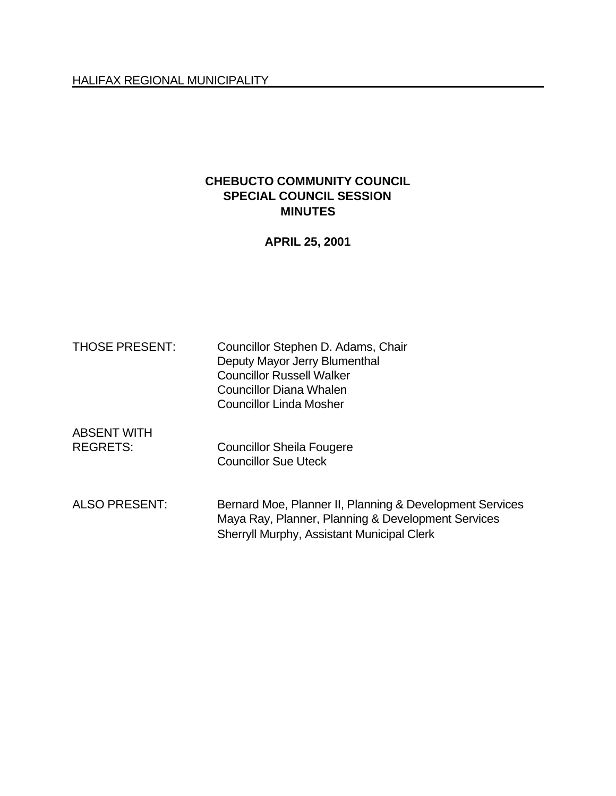#### HALIFAX REGIONAL MUNICIPALITY

## **CHEBUCTO COMMUNITY COUNCIL SPECIAL COUNCIL SESSION MINUTES**

**APRIL 25, 2001**

| <b>THOSE PRESENT:</b>                 | Councillor Stephen D. Adams, Chair<br>Deputy Mayor Jerry Blumenthal<br><b>Councillor Russell Walker</b><br><b>Councillor Diana Whalen</b><br>Councillor Linda Mosher |
|---------------------------------------|----------------------------------------------------------------------------------------------------------------------------------------------------------------------|
| <b>ABSENT WITH</b><br><b>REGRETS:</b> | <b>Councillor Sheila Fougere</b><br><b>Councillor Sue Uteck</b>                                                                                                      |
| <b>ALSO PRESENT:</b>                  | Bernard Moe, Planner II, Planning & Development Services<br>Maya Ray, Planner, Planning & Development Services<br><b>Sherryll Murphy, Assistant Municipal Clerk</b>  |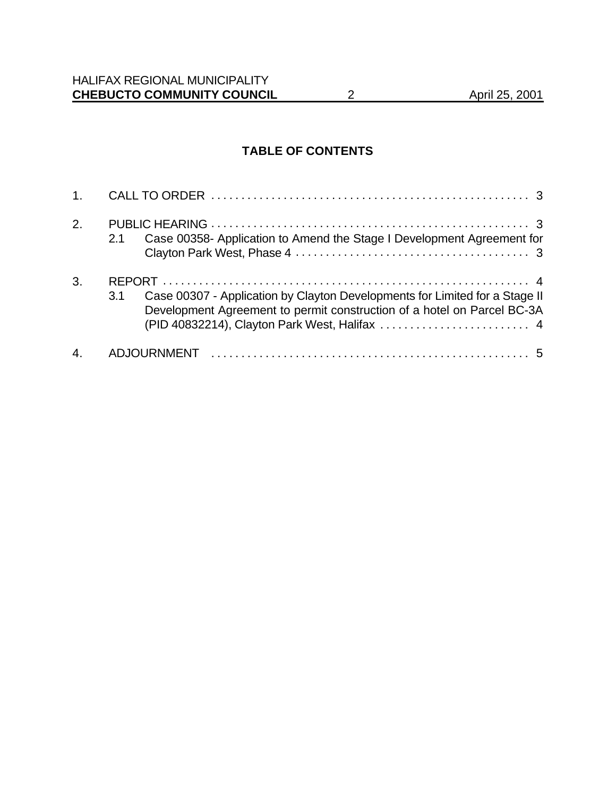# **TABLE OF CONTENTS**

| 2.               | Case 00358- Application to Amend the Stage I Development Agreement for<br>2.1                                                                                 |
|------------------|---------------------------------------------------------------------------------------------------------------------------------------------------------------|
| 3.               | Case 00307 - Application by Clayton Developments for Limited for a Stage II<br>3.1<br>Development Agreement to permit construction of a hotel on Parcel BC-3A |
| $\overline{4}$ . |                                                                                                                                                               |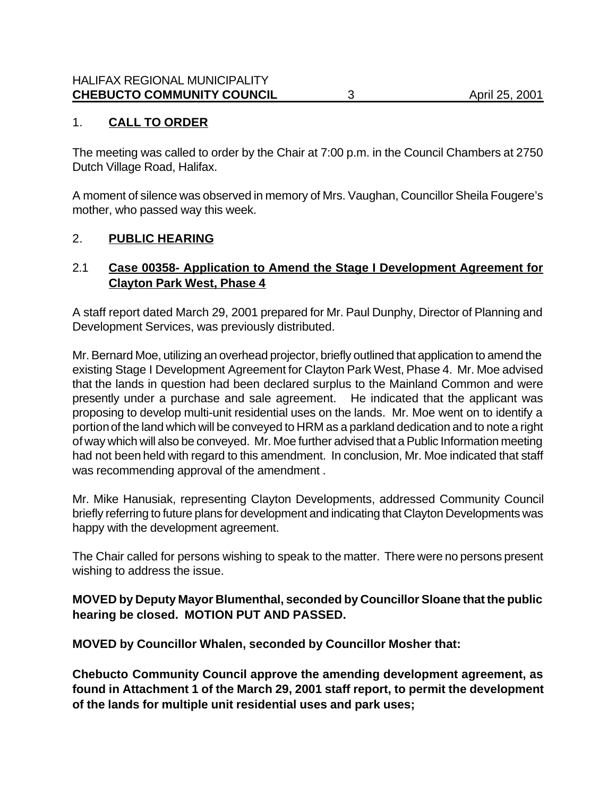## 1. **CALL TO ORDER**

The meeting was called to order by the Chair at 7:00 p.m. in the Council Chambers at 2750 Dutch Village Road, Halifax.

A moment of silence was observed in memory of Mrs. Vaughan, Councillor Sheila Fougere's mother, who passed way this week.

#### 2. **PUBLIC HEARING**

### 2.1 **Case 00358- Application to Amend the Stage I Development Agreement for Clayton Park West, Phase 4**

A staff report dated March 29, 2001 prepared for Mr. Paul Dunphy, Director of Planning and Development Services, was previously distributed.

Mr. Bernard Moe, utilizing an overhead projector, briefly outlined that application to amend the existing Stage I Development Agreement for Clayton Park West, Phase 4. Mr. Moe advised that the lands in question had been declared surplus to the Mainland Common and were presently under a purchase and sale agreement. He indicated that the applicant was proposing to develop multi-unit residential uses on the lands. Mr. Moe went on to identify a portion of the land which will be conveyed to HRM as a parkland dedication and to note a right of way which will also be conveyed. Mr. Moe further advised that a Public Information meeting had not been held with regard to this amendment. In conclusion, Mr. Moe indicated that staff was recommending approval of the amendment .

Mr. Mike Hanusiak, representing Clayton Developments, addressed Community Council briefly referring to future plans for development and indicating that Clayton Developments was happy with the development agreement.

The Chair called for persons wishing to speak to the matter. There were no persons present wishing to address the issue.

#### **MOVED by Deputy Mayor Blumenthal, seconded by Councillor Sloane that the public hearing be closed. MOTION PUT AND PASSED.**

**MOVED by Councillor Whalen, seconded by Councillor Mosher that:**

**Chebucto Community Council approve the amending development agreement, as found in Attachment 1 of the March 29, 2001 staff report, to permit the development of the lands for multiple unit residential uses and park uses;**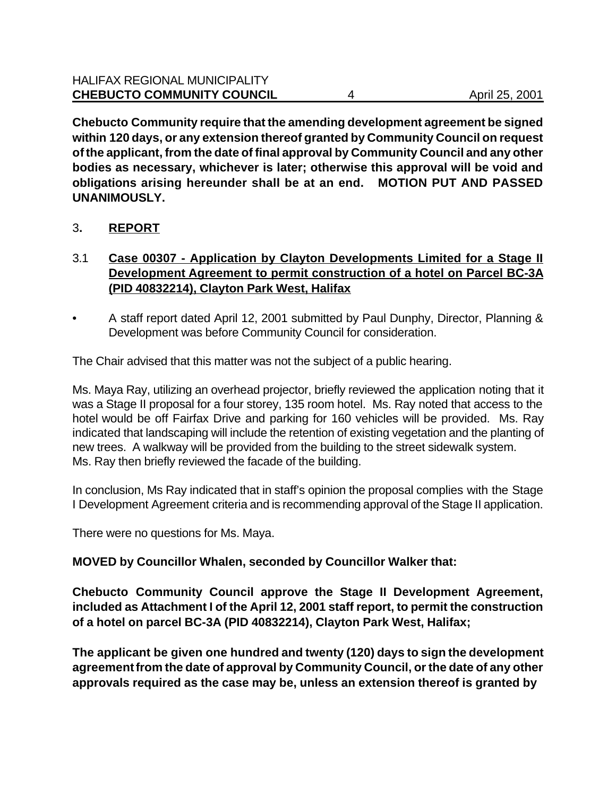**Chebucto Community require that the amending development agreement be signed within 120 days, or any extension thereof granted by Community Council on request of the applicant, from the date of final approval by Community Council and any other bodies as necessary, whichever is later; otherwise this approval will be void and obligations arising hereunder shall be at an end. MOTION PUT AND PASSED UNANIMOUSLY.**

- 3**. REPORT**
- 3.1 **Case 00307 Application by Clayton Developments Limited for a Stage II Development Agreement to permit construction of a hotel on Parcel BC-3A (PID 40832214), Clayton Park West, Halifax**
- A staff report dated April 12, 2001 submitted by Paul Dunphy, Director, Planning & Development was before Community Council for consideration.

The Chair advised that this matter was not the subject of a public hearing.

Ms. Maya Ray, utilizing an overhead projector, briefly reviewed the application noting that it was a Stage II proposal for a four storey, 135 room hotel. Ms. Ray noted that access to the hotel would be off Fairfax Drive and parking for 160 vehicles will be provided. Ms. Ray indicated that landscaping will include the retention of existing vegetation and the planting of new trees. A walkway will be provided from the building to the street sidewalk system. Ms. Ray then briefly reviewed the facade of the building.

In conclusion, Ms Ray indicated that in staff's opinion the proposal complies with the Stage I Development Agreement criteria and is recommending approval of the Stage II application.

There were no questions for Ms. Maya.

#### **MOVED by Councillor Whalen, seconded by Councillor Walker that:**

**Chebucto Community Council approve the Stage II Development Agreement, included as Attachment I of the April 12, 2001 staff report, to permit the construction of a hotel on parcel BC-3A (PID 40832214), Clayton Park West, Halifax;**

**The applicant be given one hundred and twenty (120) days to sign the development agreement from the date of approval by Community Council, or the date of any other approvals required as the case may be, unless an extension thereof is granted by**